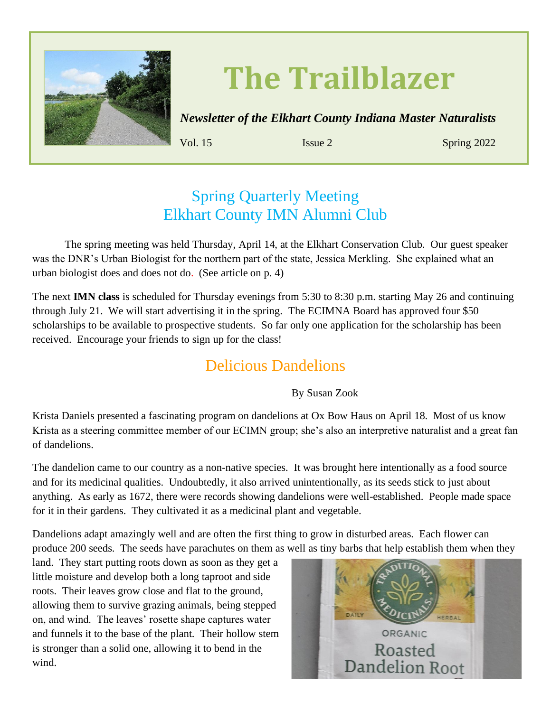

# **The Trailblazer**

*Newsletter of the Elkhart County Indiana Master Naturalists*

**Volume 12 Issue 2 Spring 2019**

**Vol. 15** Issue 2 Spring 2022

#### Spring Quarterly Meeting Elkhart County IMN Alumni Club

The spring meeting was held Thursday, April 14, at the Elkhart Conservation Club. Our guest speaker was the DNR's Urban Biologist for the northern part of the state, Jessica Merkling. She explained what an urban biologist does and does not do. (See article on p. 4)

The next **IMN class** is scheduled for Thursday evenings from 5:30 to 8:30 p.m. starting May 26 and continuing through July 21. We will start advertising it in the spring. The ECIMNA Board has approved four \$50 scholarships to be available to prospective students. So far only one application for the scholarship has been received. Encourage your friends to sign up for the class!

#### Delicious Dandelions

By Susan Zook

Krista Daniels presented a fascinating program on dandelions at Ox Bow Haus on April 18. Most of us know Krista as a steering committee member of our ECIMN group; she's also an interpretive naturalist and a great fan of dandelions.

The dandelion came to our country as a non-native species. It was brought here intentionally as a food source and for its medicinal qualities. Undoubtedly, it also arrived unintentionally, as its seeds stick to just about anything. As early as 1672, there were records showing dandelions were well-established. People made space for it in their gardens. They cultivated it as a medicinal plant and vegetable.

Dandelions adapt amazingly well and are often the first thing to grow in disturbed areas. Each flower can produce 200 seeds. The seeds have parachutes on them as well as tiny barbs that help establish them when they

land. They start putting roots down as soon as they get a little moisture and develop both a long taproot and side roots. Their leaves grow close and flat to the ground, allowing them to survive grazing animals, being stepped on, and wind. The leaves' rosette shape captures water and funnels it to the base of the plant. Their hollow stem is stronger than a solid one, allowing it to bend in the wind.

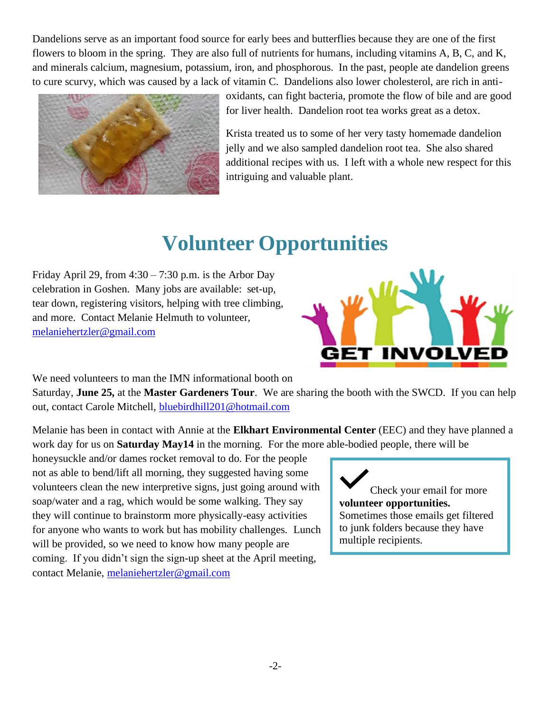Dandelions serve as an important food source for early bees and butterflies because they are one of the first flowers to bloom in the spring. They are also full of nutrients for humans, including vitamins A, B, C, and K, and minerals calcium, magnesium, potassium, iron, and phosphorous. In the past, people ate dandelion greens to cure scurvy, which was caused by a lack of vitamin C. Dandelions also lower cholesterol, are rich in anti-



oxidants, can fight bacteria, promote the flow of bile and are good for liver health. Dandelion root tea works great as a detox.

Krista treated us to some of her very tasty homemade dandelion jelly and we also sampled dandelion root tea. She also shared additional recipes with us. I left with a whole new respect for this intriguing and valuable plant.

# **Volunteer Opportunities**

Friday April 29, from  $4:30 - 7:30$  p.m. is the Arbor Day celebration in Goshen. Many jobs are available: set-up, tear down, registering visitors, helping with tree climbing, and more. Contact Melanie Helmuth to volunteer, [melaniehertzler@gmail.com](mailto:melaniehertzler@gmail.com)



We need volunteers to man the IMN informational booth on

Saturday, **June 25,** at the **Master Gardeners Tour**. We are sharing the booth with the SWCD. If you can help out, contact Carole Mitchell, [bluebirdhill201@hotmail.com](mailto:bluebirdhill201@hotmail.com)

Melanie has been in contact with Annie at the **Elkhart Environmental Center** (EEC) and they have planned a work day for us on **Saturday May14** in the morning. For the more able-bodied people, there will be

honeysuckle and/or dames rocket removal to do. For the people not as able to bend/lift all morning, they suggested having some volunteers clean the new interpretive signs, just going around with soap/water and a rag, which would be some walking. They say they will continue to brainstorm more physically-easy activities for anyone who wants to work but has mobility challenges. Lunch will be provided, so we need to know how many people are coming. If you didn't sign the sign-up sheet at the April meeting, contact Melanie, [melaniehertzler@gmail.com](mailto:melaniehertzler@gmail.com)

Check your email for more **volunteer opportunities.** Sometimes those emails get filtered to junk folders because they have multiple recipients.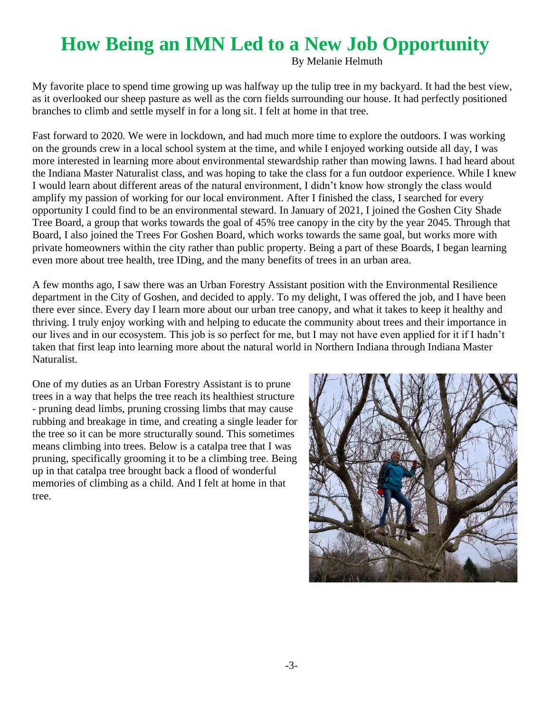# **How Being an IMN Led to a New Job Opportunity**

By Melanie Helmuth

My favorite place to spend time growing up was halfway up the tulip tree in my backyard. It had the best view, as it overlooked our sheep pasture as well as the corn fields surrounding our house. It had perfectly positioned branches to climb and settle myself in for a long sit. I felt at home in that tree.

Fast forward to 2020. We were in lockdown, and had much more time to explore the outdoors. I was working on the grounds crew in a local school system at the time, and while I enjoyed working outside all day, I was more interested in learning more about environmental stewardship rather than mowing lawns. I had heard about the Indiana Master Naturalist class, and was hoping to take the class for a fun outdoor experience. While I knew I would learn about different areas of the natural environment, I didn't know how strongly the class would amplify my passion of working for our local environment. After I finished the class, I searched for every opportunity I could find to be an environmental steward. In January of 2021, I joined the Goshen City Shade Tree Board, a group that works towards the goal of 45% tree canopy in the city by the year 2045. Through that Board, I also joined the Trees For Goshen Board, which works towards the same goal, but works more with private homeowners within the city rather than public property. Being a part of these Boards, I began learning even more about tree health, tree IDing, and the many benefits of trees in an urban area.

A few months ago, I saw there was an Urban Forestry Assistant position with the Environmental Resilience department in the City of Goshen, and decided to apply. To my delight, I was offered the job, and I have been there ever since. Every day I learn more about our urban tree canopy, and what it takes to keep it healthy and thriving. I truly enjoy working with and helping to educate the community about trees and their importance in our lives and in our ecosystem. This job is so perfect for me, but I may not have even applied for it if I hadn't taken that first leap into learning more about the natural world in Northern Indiana through Indiana Master Naturalist.

One of my duties as an Urban Forestry Assistant is to prune trees in a way that helps the tree reach its healthiest structure - pruning dead limbs, pruning crossing limbs that may cause rubbing and breakage in time, and creating a single leader for the tree so it can be more structurally sound. This sometimes means climbing into trees. Below is a catalpa tree that I was pruning, specifically grooming it to be a climbing tree. Being up in that catalpa tree brought back a flood of wonderful memories of climbing as a child. And I felt at home in that tree.

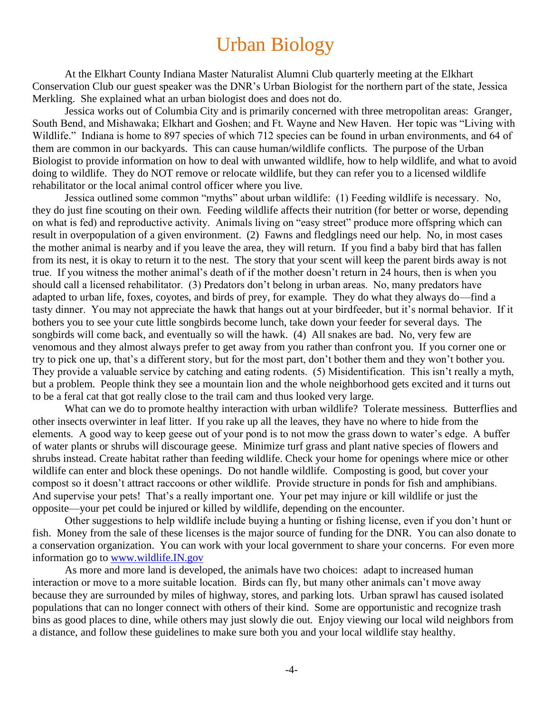### Urban Biology

At the Elkhart County Indiana Master Naturalist Alumni Club quarterly meeting at the Elkhart Conservation Club our guest speaker was the DNR's Urban Biologist for the northern part of the state, Jessica Merkling. She explained what an urban biologist does and does not do.

Jessica works out of Columbia City and is primarily concerned with three metropolitan areas: Granger, South Bend, and Mishawaka; Elkhart and Goshen; and Ft. Wayne and New Haven. Her topic was "Living with Wildlife." Indiana is home to 897 species of which 712 species can be found in urban environments, and 64 of them are common in our backyards. This can cause human/wildlife conflicts. The purpose of the Urban Biologist to provide information on how to deal with unwanted wildlife, how to help wildlife, and what to avoid doing to wildlife. They do NOT remove or relocate wildlife, but they can refer you to a licensed wildlife rehabilitator or the local animal control officer where you live.

Jessica outlined some common "myths" about urban wildlife: (1) Feeding wildlife is necessary. No, they do just fine scouting on their own. Feeding wildlife affects their nutrition (for better or worse, depending on what is fed) and reproductive activity. Animals living on "easy street" produce more offspring which can result in overpopulation of a given environment. (2) Fawns and fledglings need our help. No, in most cases the mother animal is nearby and if you leave the area, they will return. If you find a baby bird that has fallen from its nest, it is okay to return it to the nest. The story that your scent will keep the parent birds away is not true. If you witness the mother animal's death of if the mother doesn't return in 24 hours, then is when you should call a licensed rehabilitator. (3) Predators don't belong in urban areas. No, many predators have adapted to urban life, foxes, coyotes, and birds of prey, for example. They do what they always do—find a tasty dinner. You may not appreciate the hawk that hangs out at your birdfeeder, but it's normal behavior. If it bothers you to see your cute little songbirds become lunch, take down your feeder for several days. The songbirds will come back, and eventually so will the hawk. (4) All snakes are bad. No, very few are venomous and they almost always prefer to get away from you rather than confront you. If you corner one or try to pick one up, that's a different story, but for the most part, don't bother them and they won't bother you. They provide a valuable service by catching and eating rodents. (5) Misidentification. This isn't really a myth, but a problem. People think they see a mountain lion and the whole neighborhood gets excited and it turns out to be a feral cat that got really close to the trail cam and thus looked very large.

What can we do to promote healthy interaction with urban wildlife? Tolerate messiness. Butterflies and other insects overwinter in leaf litter. If you rake up all the leaves, they have no where to hide from the elements. A good way to keep geese out of your pond is to not mow the grass down to water's edge. A buffer of water plants or shrubs will discourage geese. Minimize turf grass and plant native species of flowers and shrubs instead. Create habitat rather than feeding wildlife. Check your home for openings where mice or other wildlife can enter and block these openings. Do not handle wildlife. Composting is good, but cover your compost so it doesn't attract raccoons or other wildlife. Provide structure in ponds for fish and amphibians. And supervise your pets! That's a really important one. Your pet may injure or kill wildlife or just the opposite—your pet could be injured or killed by wildlife, depending on the encounter.

Other suggestions to help wildlife include buying a hunting or fishing license, even if you don't hunt or fish. Money from the sale of these licenses is the major source of funding for the DNR. You can also donate to a conservation organization. You can work with your local government to share your concerns. For even more information go to [www.wildlife.IN.gov](http://www.wildlife.in.gov/)

As more and more land is developed, the animals have two choices: adapt to increased human interaction or move to a more suitable location. Birds can fly, but many other animals can't move away because they are surrounded by miles of highway, stores, and parking lots. Urban sprawl has caused isolated populations that can no longer connect with others of their kind. Some are opportunistic and recognize trash bins as good places to dine, while others may just slowly die out. Enjoy viewing our local wild neighbors from a distance, and follow these guidelines to make sure both you and your local wildlife stay healthy.